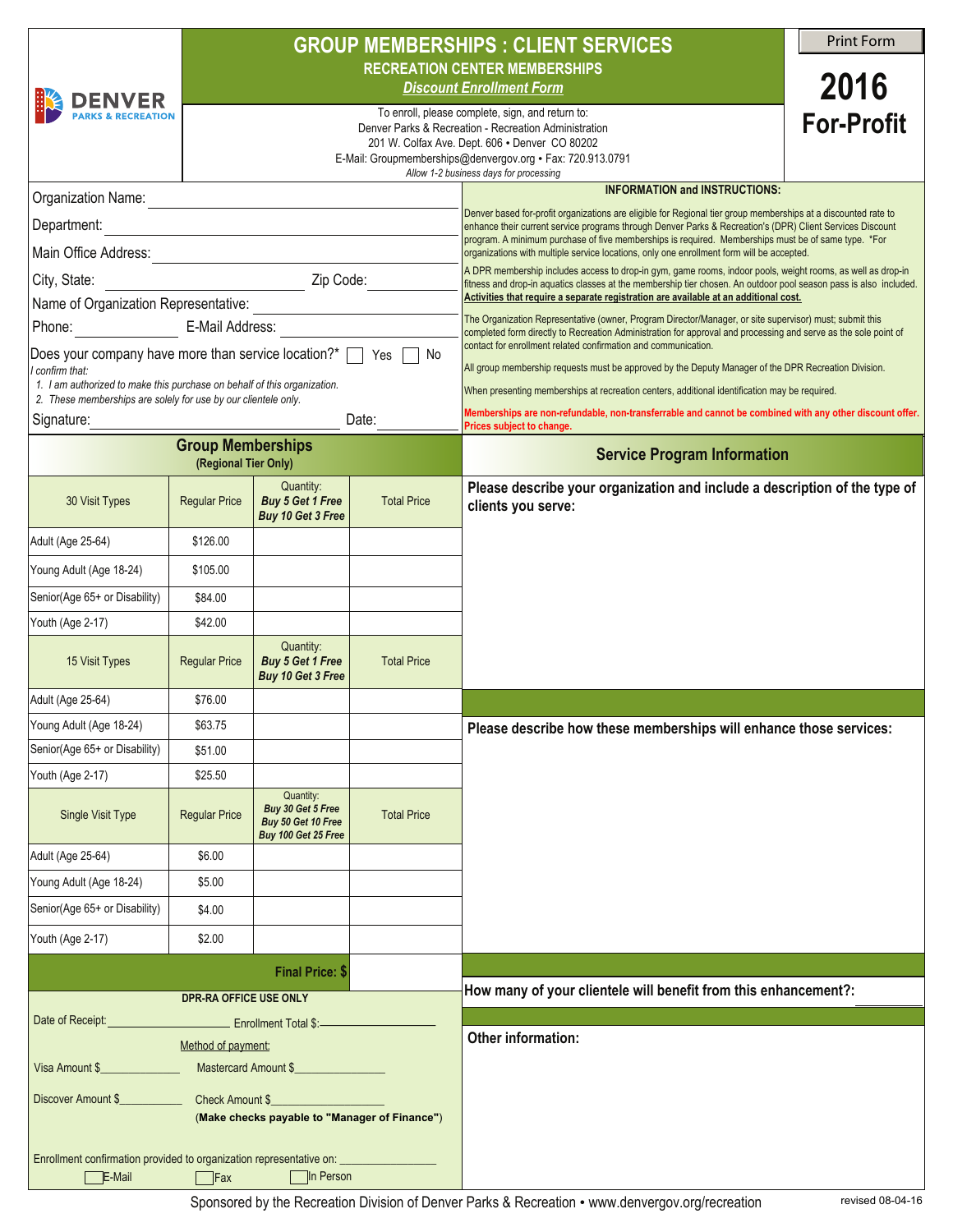|                                                                                                                                            |                                                                                    | <b>GROUP MEMBERSHIPS : CLIENT SERVICES</b>                                  |                    |                                                                                                                                                                                                                                                                                                                                                                                                                                                                                                                                                                                                                                                                                                                                                                                                                                                                        |                   |  |  |  |
|--------------------------------------------------------------------------------------------------------------------------------------------|------------------------------------------------------------------------------------|-----------------------------------------------------------------------------|--------------------|------------------------------------------------------------------------------------------------------------------------------------------------------------------------------------------------------------------------------------------------------------------------------------------------------------------------------------------------------------------------------------------------------------------------------------------------------------------------------------------------------------------------------------------------------------------------------------------------------------------------------------------------------------------------------------------------------------------------------------------------------------------------------------------------------------------------------------------------------------------------|-------------------|--|--|--|
|                                                                                                                                            |                                                                                    | <b>RECREATION CENTER MEMBERSHIPS</b>                                        |                    |                                                                                                                                                                                                                                                                                                                                                                                                                                                                                                                                                                                                                                                                                                                                                                                                                                                                        |                   |  |  |  |
| <b>DENVER</b>                                                                                                                              |                                                                                    | <b>Discount Enrollment Form</b>                                             |                    |                                                                                                                                                                                                                                                                                                                                                                                                                                                                                                                                                                                                                                                                                                                                                                                                                                                                        |                   |  |  |  |
| <b>PARKS &amp; RECREATION</b>                                                                                                              |                                                                                    |                                                                             |                    | To enroll, please complete, sign, and return to:<br>Denver Parks & Recreation - Recreation Administration                                                                                                                                                                                                                                                                                                                                                                                                                                                                                                                                                                                                                                                                                                                                                              | <b>For-Profit</b> |  |  |  |
|                                                                                                                                            |                                                                                    |                                                                             |                    | 201 W. Colfax Ave. Dept. 606 . Denver CO 80202<br>E-Mail: Groupmemberships@denvergov.org • Fax: 720.913.0791                                                                                                                                                                                                                                                                                                                                                                                                                                                                                                                                                                                                                                                                                                                                                           |                   |  |  |  |
|                                                                                                                                            |                                                                                    |                                                                             |                    | Allow 1-2 business days for processing<br><b>INFORMATION and INSTRUCTIONS:</b>                                                                                                                                                                                                                                                                                                                                                                                                                                                                                                                                                                                                                                                                                                                                                                                         |                   |  |  |  |
| Organization Name:<br><u> 1980 - Johann Barbara, martxa alemaniar amerikan basar da a</u>                                                  |                                                                                    |                                                                             |                    | Denver based for-profit organizations are eligible for Regional tier group memberships at a discounted rate to<br>enhance their current service programs through Denver Parks & Recreation's (DPR) Client Services Discount<br>program. A minimum purchase of five memberships is required. Memberships must be of same type. *For<br>organizations with multiple service locations, only one enrollment form will be accepted.<br>A DPR membership includes access to drop-in gym, game rooms, indoor pools, weight rooms, as well as drop-in<br>fitness and drop-in aquatics classes at the membership tier chosen. An outdoor pool season pass is also included.<br>Activities that require a separate registration are available at an additional cost.<br>The Organization Representative (owner, Program Director/Manager, or site supervisor) must; submit this |                   |  |  |  |
|                                                                                                                                            |                                                                                    |                                                                             |                    |                                                                                                                                                                                                                                                                                                                                                                                                                                                                                                                                                                                                                                                                                                                                                                                                                                                                        |                   |  |  |  |
| Main Office Address:                                                                                                                       |                                                                                    |                                                                             |                    |                                                                                                                                                                                                                                                                                                                                                                                                                                                                                                                                                                                                                                                                                                                                                                                                                                                                        |                   |  |  |  |
| City, State:                                                                                                                               |                                                                                    |                                                                             |                    |                                                                                                                                                                                                                                                                                                                                                                                                                                                                                                                                                                                                                                                                                                                                                                                                                                                                        |                   |  |  |  |
| Phone: E-Mail Address:                                                                                                                     |                                                                                    |                                                                             |                    |                                                                                                                                                                                                                                                                                                                                                                                                                                                                                                                                                                                                                                                                                                                                                                                                                                                                        |                   |  |  |  |
| Does your company have more than service location?* $\Box$<br>Yes  <br>No                                                                  |                                                                                    |                                                                             |                    | completed form directly to Recreation Administration for approval and processing and serve as the sole point of<br>contact for enrollment related confirmation and communication.                                                                                                                                                                                                                                                                                                                                                                                                                                                                                                                                                                                                                                                                                      |                   |  |  |  |
| I confirm that:                                                                                                                            |                                                                                    |                                                                             |                    | All group membership requests must be approved by the Deputy Manager of the DPR Recreation Division.                                                                                                                                                                                                                                                                                                                                                                                                                                                                                                                                                                                                                                                                                                                                                                   |                   |  |  |  |
| 1. I am authorized to make this purchase on behalf of this organization.<br>2. These memberships are solely for use by our clientele only. |                                                                                    |                                                                             |                    | When presenting memberships at recreation centers, additional identification may be required.                                                                                                                                                                                                                                                                                                                                                                                                                                                                                                                                                                                                                                                                                                                                                                          |                   |  |  |  |
| Signature:                                                                                                                                 | Date:                                                                              |                                                                             |                    | Memberships are non-refundable, non-transferrable and cannot be combined with any other discount offer.<br>Prices subject to change.                                                                                                                                                                                                                                                                                                                                                                                                                                                                                                                                                                                                                                                                                                                                   |                   |  |  |  |
| <b>Group Memberships</b><br>(Regional Tier Only)                                                                                           |                                                                                    |                                                                             |                    | <b>Service Program Information</b>                                                                                                                                                                                                                                                                                                                                                                                                                                                                                                                                                                                                                                                                                                                                                                                                                                     |                   |  |  |  |
| 30 Visit Types                                                                                                                             | <b>Regular Price</b>                                                               | Quantity:<br><b>Buy 5 Get 1 Free</b><br>Buy 10 Get 3 Free                   | <b>Total Price</b> | Please describe your organization and include a description of the type of<br>clients you serve:                                                                                                                                                                                                                                                                                                                                                                                                                                                                                                                                                                                                                                                                                                                                                                       |                   |  |  |  |
| Adult (Age 25-64)                                                                                                                          | \$126.00                                                                           |                                                                             |                    |                                                                                                                                                                                                                                                                                                                                                                                                                                                                                                                                                                                                                                                                                                                                                                                                                                                                        |                   |  |  |  |
| Young Adult (Age 18-24)                                                                                                                    | \$105.00                                                                           |                                                                             |                    |                                                                                                                                                                                                                                                                                                                                                                                                                                                                                                                                                                                                                                                                                                                                                                                                                                                                        |                   |  |  |  |
| Senior(Age 65+ or Disability)                                                                                                              | \$84.00                                                                            |                                                                             |                    |                                                                                                                                                                                                                                                                                                                                                                                                                                                                                                                                                                                                                                                                                                                                                                                                                                                                        |                   |  |  |  |
| Youth (Age 2-17)                                                                                                                           | \$42.00                                                                            |                                                                             |                    |                                                                                                                                                                                                                                                                                                                                                                                                                                                                                                                                                                                                                                                                                                                                                                                                                                                                        |                   |  |  |  |
| 15 Visit Types                                                                                                                             | <b>Regular Price</b>                                                               | Quantity:<br><b>Buy 5 Get 1 Free</b><br>Buy 10 Get 3 Free                   | <b>Total Price</b> |                                                                                                                                                                                                                                                                                                                                                                                                                                                                                                                                                                                                                                                                                                                                                                                                                                                                        |                   |  |  |  |
| Adult (Age 25-64)                                                                                                                          | \$76.00                                                                            |                                                                             |                    |                                                                                                                                                                                                                                                                                                                                                                                                                                                                                                                                                                                                                                                                                                                                                                                                                                                                        |                   |  |  |  |
| Young Adult (Age 18-24)                                                                                                                    | \$63.75                                                                            |                                                                             |                    | Please describe how these memberships will enhance those services:                                                                                                                                                                                                                                                                                                                                                                                                                                                                                                                                                                                                                                                                                                                                                                                                     |                   |  |  |  |
| Senior(Age 65+ or Disability)                                                                                                              | \$51.00                                                                            |                                                                             |                    |                                                                                                                                                                                                                                                                                                                                                                                                                                                                                                                                                                                                                                                                                                                                                                                                                                                                        |                   |  |  |  |
| Youth (Age 2-17)                                                                                                                           | \$25.50                                                                            |                                                                             |                    |                                                                                                                                                                                                                                                                                                                                                                                                                                                                                                                                                                                                                                                                                                                                                                                                                                                                        |                   |  |  |  |
| Single Visit Type                                                                                                                          | <b>Regular Price</b>                                                               | Quantity:<br>Buy 30 Get 5 Free<br>Buy 50 Get 10 Free<br>Buy 100 Get 25 Free | <b>Total Price</b> |                                                                                                                                                                                                                                                                                                                                                                                                                                                                                                                                                                                                                                                                                                                                                                                                                                                                        |                   |  |  |  |
| Adult (Age 25-64)                                                                                                                          | \$6.00                                                                             |                                                                             |                    |                                                                                                                                                                                                                                                                                                                                                                                                                                                                                                                                                                                                                                                                                                                                                                                                                                                                        |                   |  |  |  |
| Young Adult (Age 18-24)                                                                                                                    | \$5.00                                                                             |                                                                             |                    |                                                                                                                                                                                                                                                                                                                                                                                                                                                                                                                                                                                                                                                                                                                                                                                                                                                                        |                   |  |  |  |
| Senior(Age 65+ or Disability)                                                                                                              | \$4.00                                                                             |                                                                             |                    |                                                                                                                                                                                                                                                                                                                                                                                                                                                                                                                                                                                                                                                                                                                                                                                                                                                                        |                   |  |  |  |
| Youth (Age 2-17)                                                                                                                           | \$2.00                                                                             |                                                                             |                    |                                                                                                                                                                                                                                                                                                                                                                                                                                                                                                                                                                                                                                                                                                                                                                                                                                                                        |                   |  |  |  |
|                                                                                                                                            |                                                                                    | Final Price: \$                                                             |                    |                                                                                                                                                                                                                                                                                                                                                                                                                                                                                                                                                                                                                                                                                                                                                                                                                                                                        |                   |  |  |  |
|                                                                                                                                            | <b>DPR-RA OFFICE USE ONLY</b>                                                      |                                                                             |                    | How many of your clientele will benefit from this enhancement?:                                                                                                                                                                                                                                                                                                                                                                                                                                                                                                                                                                                                                                                                                                                                                                                                        |                   |  |  |  |
|                                                                                                                                            | Date of Receipt: _________________________________ Enrollment Total \$:___________ |                                                                             |                    |                                                                                                                                                                                                                                                                                                                                                                                                                                                                                                                                                                                                                                                                                                                                                                                                                                                                        |                   |  |  |  |
| Method of payment:<br>Mastercard Amount \$                                                                                                 |                                                                                    |                                                                             |                    | Other information:                                                                                                                                                                                                                                                                                                                                                                                                                                                                                                                                                                                                                                                                                                                                                                                                                                                     |                   |  |  |  |
| Visa Amount \$                                                                                                                             |                                                                                    |                                                                             |                    |                                                                                                                                                                                                                                                                                                                                                                                                                                                                                                                                                                                                                                                                                                                                                                                                                                                                        |                   |  |  |  |
| (Make checks payable to "Manager of Finance")                                                                                              |                                                                                    |                                                                             |                    |                                                                                                                                                                                                                                                                                                                                                                                                                                                                                                                                                                                                                                                                                                                                                                                                                                                                        |                   |  |  |  |
|                                                                                                                                            |                                                                                    |                                                                             |                    |                                                                                                                                                                                                                                                                                                                                                                                                                                                                                                                                                                                                                                                                                                                                                                                                                                                                        |                   |  |  |  |
| Enrollment confirmation provided to organization representative on:<br>E-Mail                                                              | $\Box$ Fax                                                                         | In Person                                                                   |                    |                                                                                                                                                                                                                                                                                                                                                                                                                                                                                                                                                                                                                                                                                                                                                                                                                                                                        |                   |  |  |  |

Sponsored by the Recreation Division of Denver Parks & Recreation • www.denvergov.org/recreation